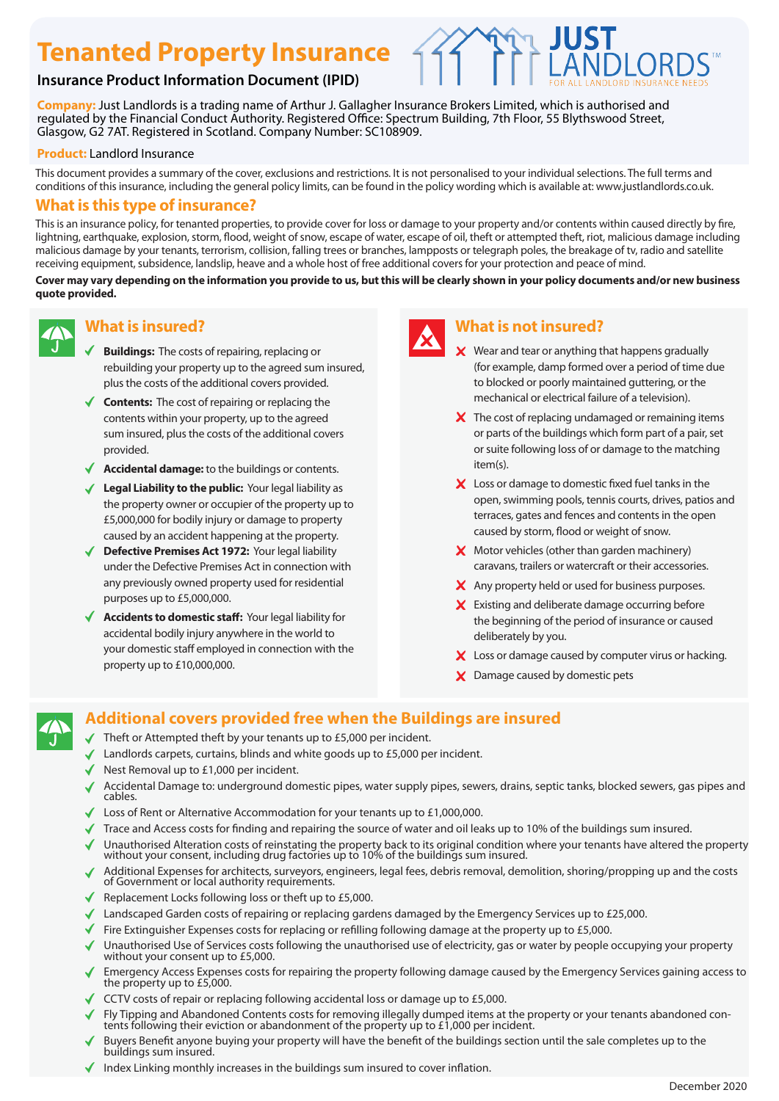# **Tenanted Property Insurance**

### **Insurance Product Information Document (IPID)**

**Company:** Just Landlords is a trading name of Arthur J. Gallagher Insurance Brokers Limited, which is authorised and regulated by the Financial Conduct Authority. Registered Office: Spectrum Building, 7th Floor, 55 Blythswood Street, Glasgow, G2 7AT. Registered in Scotland. Company Number: SC108909.

#### **Product:** Landlord Insurance

This document provides a summary of the cover, exclusions and restrictions. It is not personalised to your individual selections. The full terms and conditions of this insurance, including the general policy limits, can be found in the policy wording which is available at: www.justlandlords.co.uk.

#### **What is this type of insurance?**

This is an insurance policy, for tenanted properties, to provide cover for loss or damage to your property and/or contents within caused directly by fire, lightning, earthquake, explosion, storm, flood, weight of snow, escape of water, escape of oil, theft or attempted theft, riot, malicious damage including malicious damage by your tenants, terrorism, collision, falling trees or branches, lampposts or telegraph poles, the breakage of tv, radio and satellite receiving equipment, subsidence, landslip, heave and a whole host of free additional covers for your protection and peace of mind.

**Cover may vary depending on the information you provide to us, but this will be clearly shown in your policy documents and/or new business quote provided.**



#### **What is insured?**

- **Buildings:** The costs of repairing, replacing or rebuilding your property up to the agreed sum insured, plus the costs of the additional covers provided.
- ◆ **Contents:** The cost of repairing or replacing the contents within your property, up to the agreed sum insured, plus the costs of the additional covers provided.
- **Accidental damage:** to the buildings or contents.
- ◆ Legal Liability to the public: Your legal liability as the property owner or occupier of the property up to £5,000,000 for bodily injury or damage to property caused by an accident happening at the property.
- ◆ **Defective Premises Act 1972:** Your legal liability under the Defective Premises Act in connection with any previously owned property used for residential purposes up to £5,000,000.
- ◆ **Accidents to domestic staff:** Your legal liability for accidental bodily injury anywhere in the world to your domestic staff employed in connection with the property up to £10,000,000.



### **What is not insured?**

- $\boldsymbol{\times}$  Wear and tear or anything that happens gradually (for example, damp formed over a period of time due to blocked or poorly maintained guttering, or the mechanical or electrical failure of a television).
- $\boldsymbol{\times}$  The cost of replacing undamaged or remaining items or parts of the buildings which form part of a pair, set or suite following loss of or damage to the matching item(s).
- X Loss or damage to domestic fixed fuel tanks in the open, swimming pools, tennis courts, drives, patios and terraces, gates and fences and contents in the open caused by storm, flood or weight of snow.
- **X** Motor vehicles (other than garden machinery) caravans, trailers or watercraft or their accessories.
- X Any property held or used for business purposes.
- $\boldsymbol{\times}$  Existing and deliberate damage occurring before the beginning of the period of insurance or caused deliberately by you.
- X Loss or damage caused by computer virus or hacking.
- X Damage caused by domestic pets

## **Additional covers provided free when the Buildings are insured**

- Theft or Attempted theft by your tenants up to  $£5,000$  per incident.
- Landlords carpets, curtains, blinds and white goods up to £5,000 per incident.
- Nest Removal up to £1,000 per incident.
- Accidental Damage to: underground domestic pipes, water supply pipes, sewers, drains, septic tanks, blocked sewers, gas pipes and cables.
- Loss of Rent or Alternative Accommodation for your tenants up to £1,000,000.
- Trace and Access costs for finding and repairing the source of water and oil leaks up to 10% of the buildings sum insured.
- Unauthorised Alteration costs of reinstating the property back to its original condition where your tenants have altered the property without your consent, including drug factories up to 10% of the buildings sum insured.
- Additional Expenses for architects, surveyors, engineers, legal fees, debris removal, demolition, shoring/propping up and the costs of Government or local authority requirements.
- Replacement Locks following loss or theft up to  $£5,000$ .
- Landscaped Garden costs of repairing or replacing gardens damaged by the Emergency Services up to £25,000.
- Fire Extinguisher Expenses costs for replacing or refilling following damage at the property up to £5,000.
- Unauthorised Use of Services costs following the unauthorised use of electricity, gas or water by people occupying your property without your consent up to £5,000.
- Emergency Access Expenses costs for repairing the property following damage caused by the Emergency Services gaining access to the property up to £5,000.
- CCTV costs of repair or replacing following accidental loss or damage up to  $£5,000$ .
- Fly Tipping and Abandoned Contents costs for removing illegally dumped items at the property or your tenants abandoned contents following their eviction or abandonment of the property up to £1,000 per incident.
- Buyers Benefit anyone buying your property will have the benefit of the buildings section until the sale completes up to the buildings sum insured.
- Index Linking monthly increases in the buildings sum insured to cover inflation.